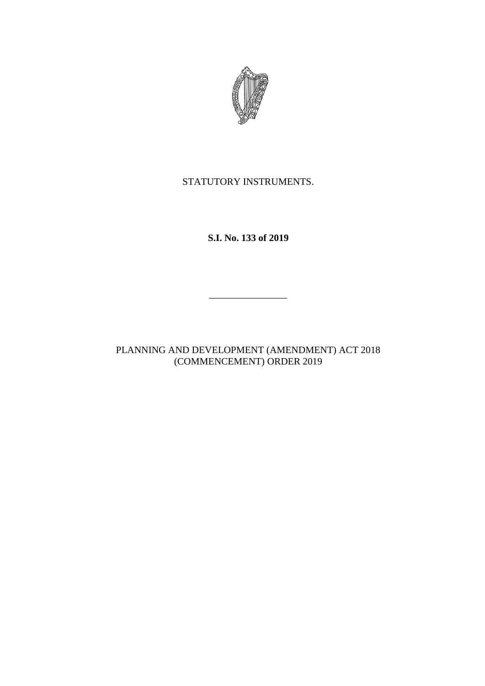

STATUTORY INSTRUMENTS.

**S.I. No. 133 of 2019**

 $\overline{\phantom{a}}$  , where  $\overline{\phantom{a}}$ 

PLANNING AND DEVELOPMENT (AMENDMENT) ACT 2018 (COMMENCEMENT) ORDER 2019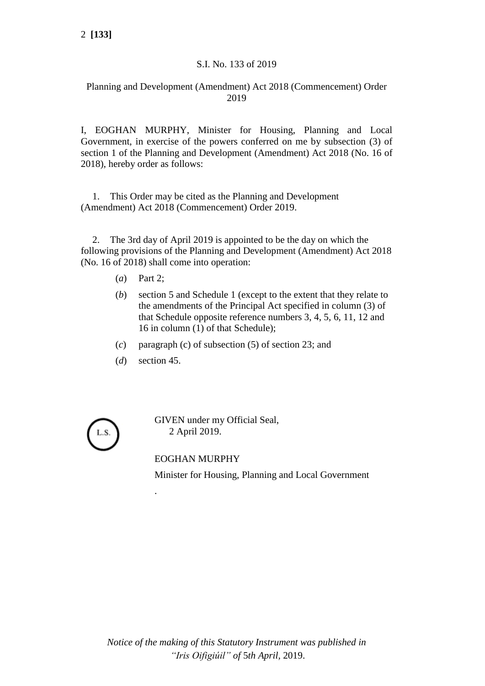## S.I. No. 133 of 2019

## Planning and Development (Amendment) Act 2018 (Commencement) Order 2019

I, EOGHAN MURPHY, Minister for Housing, Planning and Local Government, in exercise of the powers conferred on me by subsection (3) of section 1 of the Planning and Development (Amendment) Act 2018 (No. 16 of 2018), hereby order as follows:

1. This Order may be cited as the Planning and Development (Amendment) Act 2018 (Commencement) Order 2019.

2. The 3rd day of April 2019 is appointed to be the day on which the following provisions of the Planning and Development (Amendment) Act 2018 (No. 16 of 2018) shall come into operation:

- (*a*) Part 2;
- (*b*) section 5 and Schedule 1 (except to the extent that they relate to the amendments of the Principal Act specified in column (3) of that Schedule opposite reference numbers 3, 4, 5, 6, 11, 12 and 16 in column (1) of that Schedule);
- (*c*) paragraph (c) of subsection (5) of section 23; and
- (*d*) section 45.

.

GIVEN under my Official Seal, 2 April 2019.

EOGHAN MURPHY

Minister for Housing, Planning and Local Government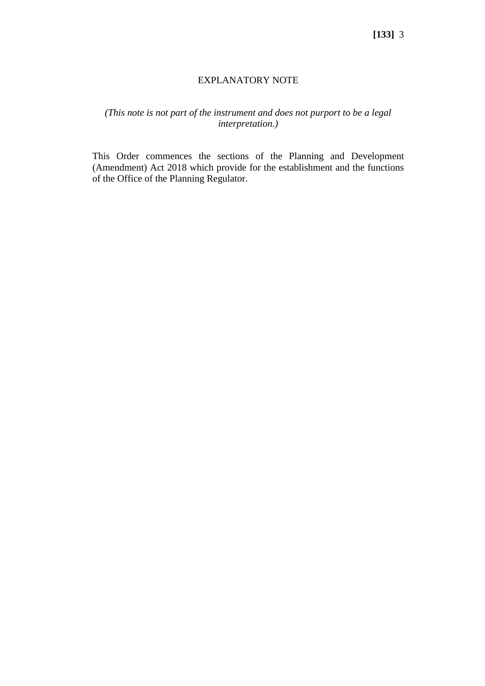## EXPLANATORY NOTE

## *(This note is not part of the instrument and does not purport to be a legal interpretation.)*

This Order commences the sections of the Planning and Development (Amendment) Act 2018 which provide for the establishment and the functions of the Office of the Planning Regulator.